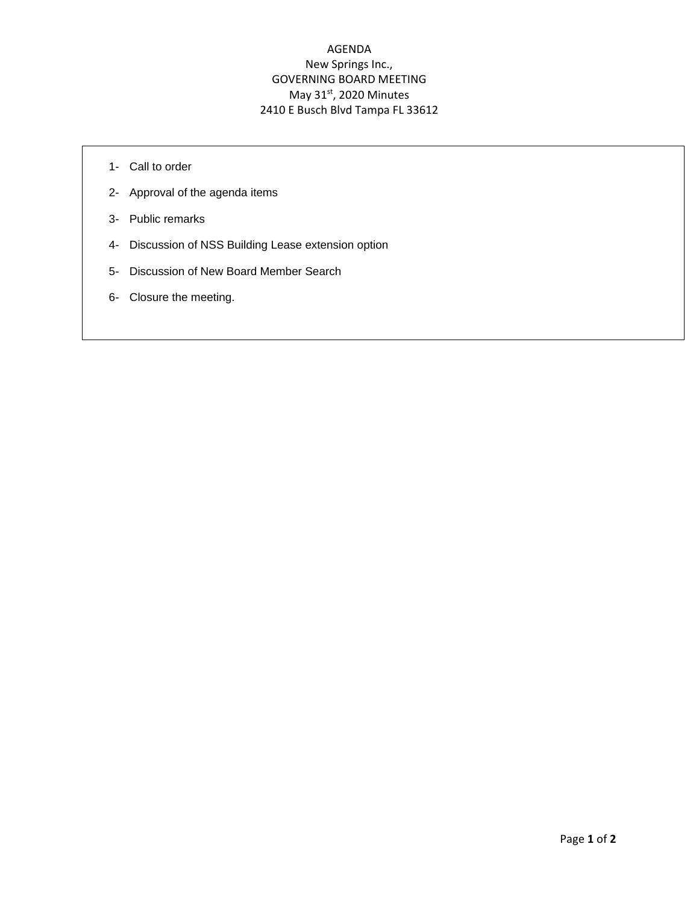## AGENDA New Springs Inc., GOVERNING BOARD MEETING May  $31<sup>st</sup>$ , 2020 Minutes 2410 E Busch Blvd Tampa FL 33612

- 1- Call to order
- 2- Approval of the agenda items
- 3- Public remarks
- 4- Discussion of NSS Building Lease extension option
- 5- Discussion of New Board Member Search
- 6- Closure the meeting.